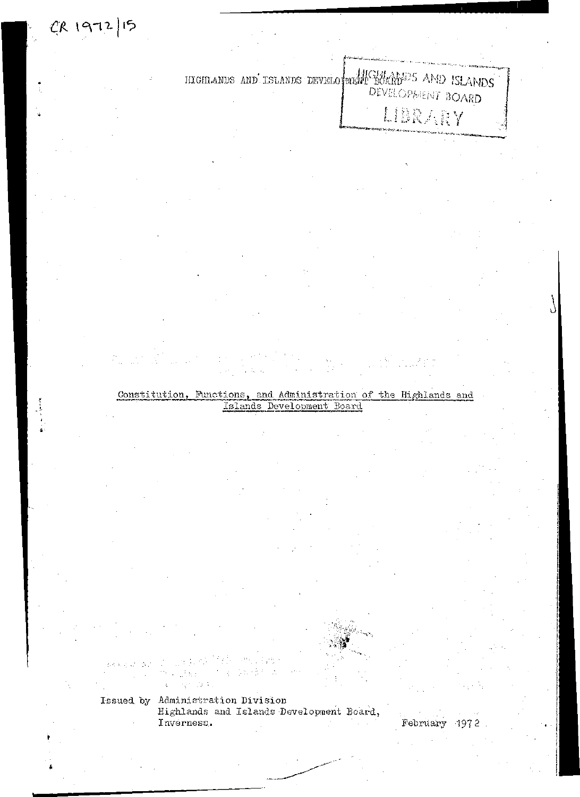# HIGHLANDS AND ISLANDS DEVELO MENT BOARD<sup>825</sup> AND ISLANDS [ ] 4 DD

Constitution, Functions, and Administration of the Highlands and Islands Development Board

MARS DON ÷

CR 1972/15

Issued by Administration Division Highlands and Islands Development Board., Inverness. February -1972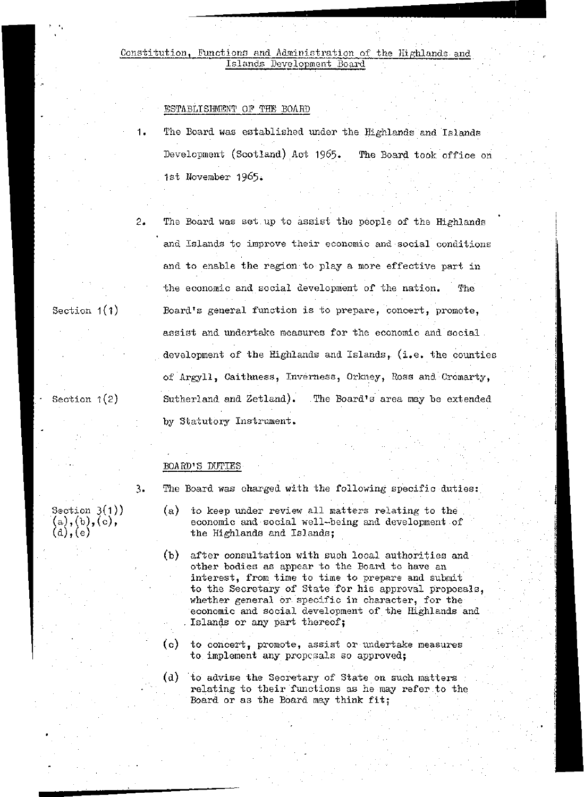## Constitution, Functions and Administration of the Highlands and<br>Islands Development Board

### ESTABLISHMENT. OF THE BOARD

- The Board was established under the Highlands and Islands Development (Scotland) Act 1965. The Board took office on 1st November 1965.
	- The Board was set up to assist the people of the Highlands and Islands to improve their economic and social conditions and to enable the region to play a more effective part in the economic and social development of the nation. The Board's general function is to prepare, concert, promote, assist and undertake measures for the economic and social development of the Highlands and Islands, (i.e. the counties of Argyll, Caithness, Inverness, Orkney, Ross and Cromarty, Sutherland and Zetland). The Board's area may be extended by Statutory Instrument.

### BOARD'S DUTIES :

3. The Board was charged with the following specific duties:

- (a) to keep under review all matters relating to the economic and social well-being and development of the Highlands and Islands;
- (b) after consultation with such local authorities and other bodies as appear to the Board to have an . interest, from time to time to prepare and submit to the Secretary of State for his approval proposals, whether general or specific in character, for the economic and social development of the Highlands and Islands or any part thereof;
- (c) to concert, promote, assist or undertake measures to implement any proposals so approved;
- (d) to advise the Secretary of State on such matters relating to their functions as he may refer to the Board or as the Board may think fit;

Section  $3(1)$ )  $(a), (b), (c),$  $(d), (e)$ 

Section 1(1)

 $2.$ 

Section  $1(2)$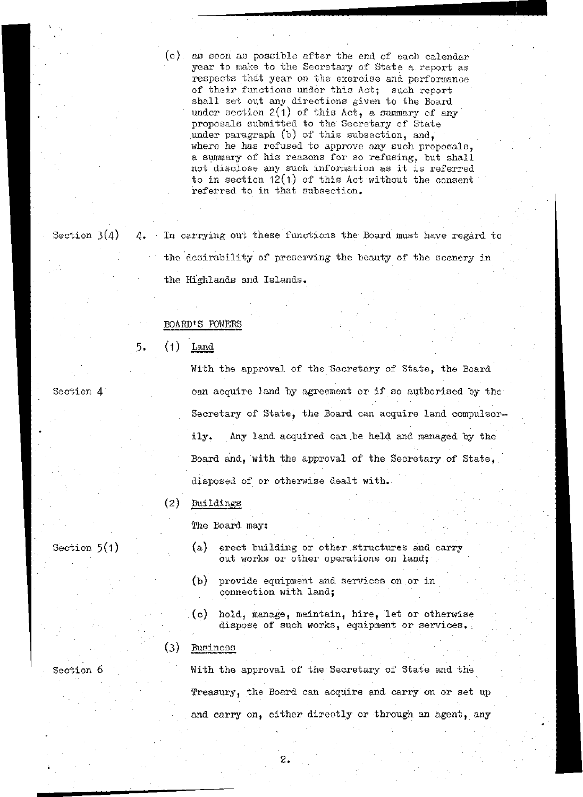(e) as soon as possible after the end of each calendar year to make to the Secretary of State a report as respects that year on the exercise and performance of their functions under this Act; such report shall set out any directions given to the Board under section  $2(1)$  of this Act, a summary of any proposals submitted to the Secretary of State under paragraph (b) of this subsection, and, where he has refused to approve any such proposals. a summary of his reasons for so refusing, but shall not disclose any such information as it is referred to in section  $12(1)$  of this Act without the consent referred to in that subsection.

Section 4

Section  $3(4)$  4. In carrying out these functions the Board must have regard to the desirability of preserving the beauty of the scenery in the Highlands and Islands.

### BOARD'S POWERS

(1) Land  $5.$ 

> With the approval of the Secretary of State, the Board can acquire land by agreement or if so authorised by the Secretary of State, the Board can acquire land compulsorily. Any land acquired can .be held and managed by the Board and, with the approval of the Secretary of State, disposed of or otherwise dealt with.

### (2) Buildings

The Board may:

- Section 5(1)
- (a) erect building or other structures and carry out works or other operations on land;
- (b) provide equipment and services on or in connection with land;
- (c) hold, manage, maintain, hire, let or otherwise dispose of such works, equipment or services.:

### $(3)$  Business

Section 6

With the approval of the Secretary of State and the Treasury, the Board can acquire and carry on or set up and carry on, either directly or through an agent, any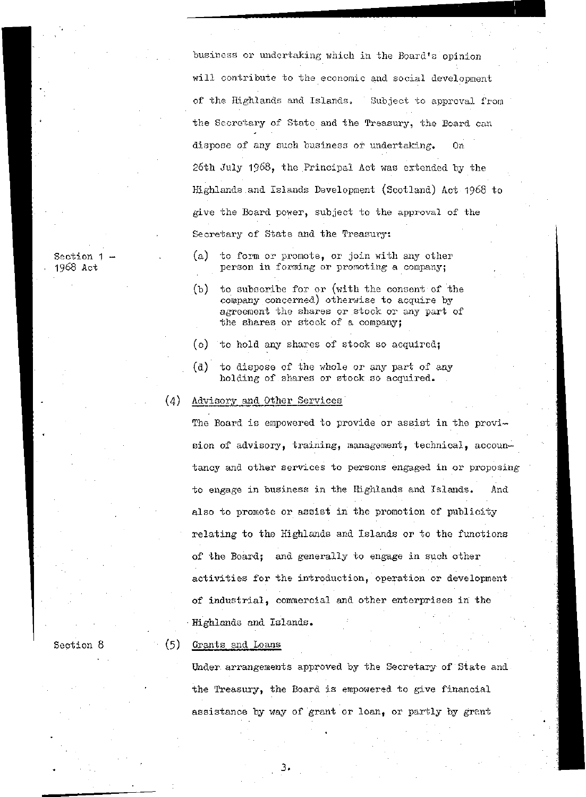business or undertaking which in the Board's'opinion will contribute to the economic and social development of the Highlands and Islands. Subject to approval from the Secretary of State and the Treasury, the Board can dispose of any such business or undertaking. On 26th July 1968, the Principal Act was extended by the Highlands and Islands Development (Scotland) Act 1968 to give the Board power, subject to the approval of the Secretary of State and the Treasury:

Section 1 -1968 Act

Section 8

- (a) to form or promote, or join with any other person in forming or promoting a company;
- (b) to subscribe for or (with the consent of the company concerned) otherwise to acquire by agreement the shares or stock or any part of the shares or stock of a company;
- (c) to hold any shares of stock so acquired;
- (d) to dispose of the whole or any part of any holding of shares or stock so acquired.

### (4) Advisory and Other Services

The Board is empowered to provide or assist in the provision of advisory, training, management, technical, accountancy and other services to persons engaged in or proposing to engage in business in the Highlands and Islands. And also to promote or assist in the promotion of publicity relating to the Highlands and Islands or to the functions of the Board; and generally to engage in such other activities for the introduction, operation or development of industrial, commercial and other enterprises in the • Highlands and Islands.

### (5) Grants and Loans

Under arrangements approved by the Secretary of State and the Treasury, the Board is empowered to give financial assistance by way of grant or loan, or partly by grant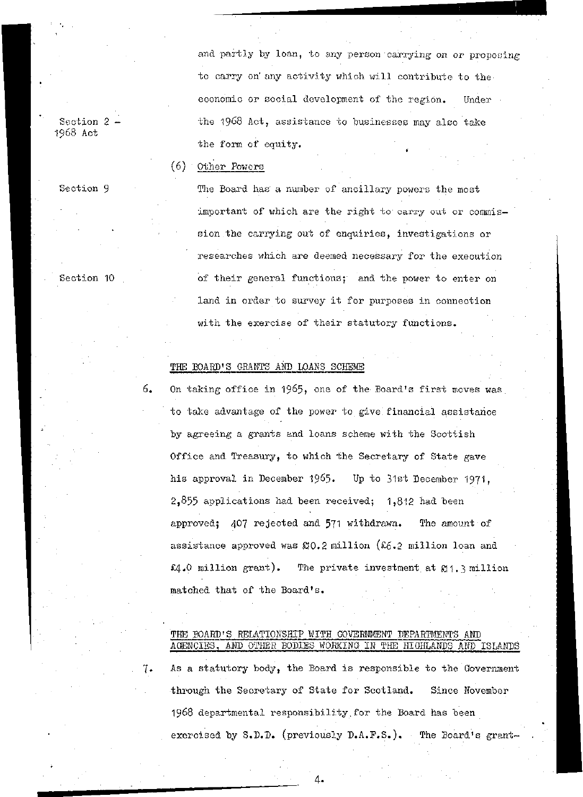and partly by loan, to any person carrying on or proposing to carry on' any activity which will contribute to the economic or social development of the region. Under the 1968 Act, assistance to businesses may also take the form of equity.

#### (6) Other Powers

The Board has a number of ancillary powers the most important of which are the right to carry out or commission, the carrying out of enquiries, investigations or researches which are deemed necessary for the execution of their general functions; and the power to enter on land in order to survey it for purposes in connection with the exercise of their statutory functions.

### THE BOARD'S GRANTS AND LOANS SCHEME

6. On taking office in 1965, one of the Board's first moves was to take advantage of the power to give financial assistance by agreeing a grants and loans scheme with the Scottish Office and Treasury, to which the Secretary of State gave his approval in December 1965. Up to 31st December 1971, 2,855 applications had been received; 1,812 had been approved;  $407$  rejected and 571 withdrawn. The amount of assistance approved was  $$0.2$  million ( $$6.2$  million loan and £4.0 million grant). The private investment at £11. 3 million matched that of the Board's.

### THE BOARD'S RELATIONSHIP WITH GOVERNMENT DEPARTMENTS AND AGENCIES, AMD OTHER BODIES WORKING IN THE HIGHLANDS AND ISLANDS

7. As a statutory body, the Board is responsible to the Government through the Secretary of State for Scotland. Since November 1968 departmental responsibility. for the Board has been exercised by S.D.D. (previously D.A.F.S.). The Board's grant-

Section 2 1968 Act

Section 9

Section 10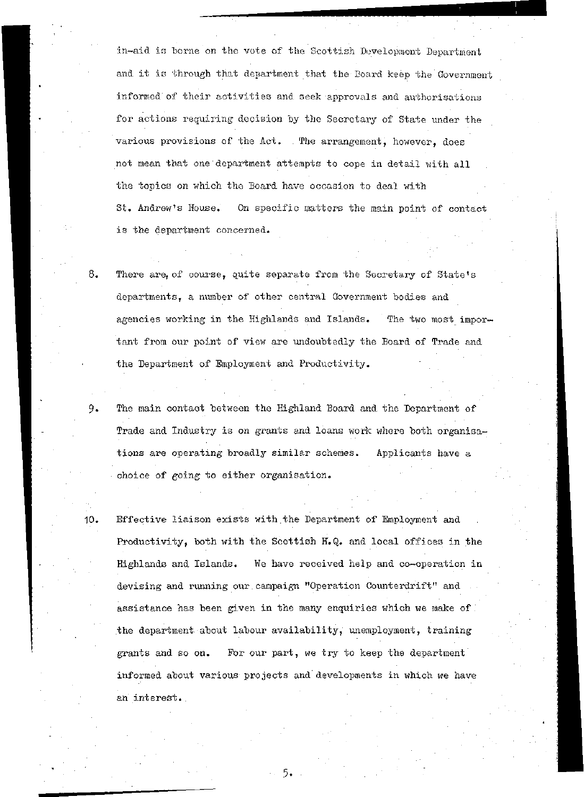in-aid is borne on the vote of the Scottish Development Department and it is through that department that the Board keep the Government informed of their activities and seek approvals and authorisations for actions requiring decision by the Secretary of State under the various provisions of the Act. The arrangement, however, does not mean that one department attempts to cope in detail with all the topics on which the Board have occasion to deal with St. Andrew's House. On specific matters the main point of contact is the department concerned.

8. There are, of course, quite separate from the Secretary of State's departments, a number of other central Government bodies and agencies working in the Highlands and Islands. The two most important from our point of view are undoubtedly the Board of Trade and the Department of Employment and Productivity.

9. The main contact between the Highland Board and the Department of Trade and Industry is on grants and loans work where both organisations are operating broadly similar schemes. Applicants have a choice of going to either organisation.

10. Effective liaison exists with. the Department of Employment and Productivity, both with the Scottish H.Q. and local offices in the Highlands and Islands. We have received help and co-operation in devising and running our campaign "Operation Counterdrift" and . assistance has been given in the many enquiries which we make of the department about labour availability, unemployment, training grants and so on. For our part, we try to keep the department informed about various projects and' developments in which we have an interest.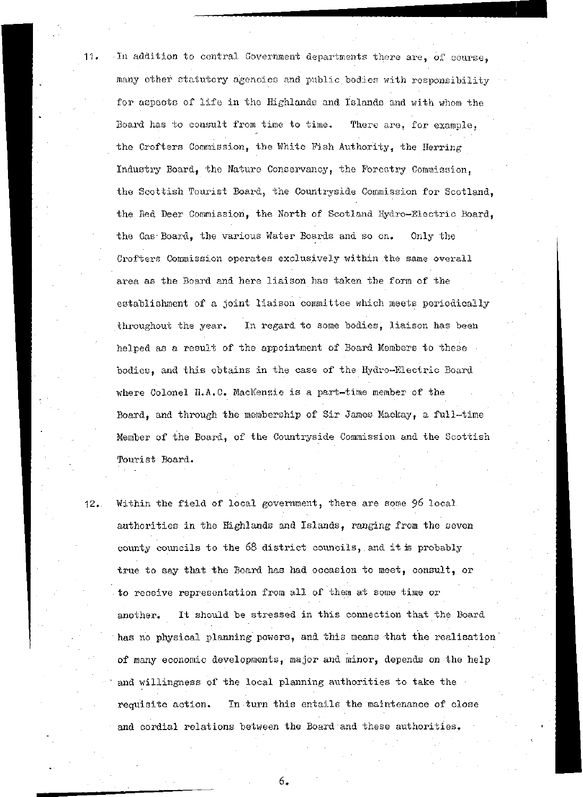11. In addition to central Government departments there are, of course, many other statutory agencies and public bodies with responsibility for aspects of life in the Highlands and Islands and with whom the Board has to consult from time to time. There are, for example, the Crofters Commission, the White Fish Authority, the Herring Industry Board, the Nature Conservancy, the Forestry Commission, the Scottish Tourist Board, the Countryside Commission for Scotland, the Red Beer Commission, the Worth of Scotland Hydro-Electric Board, the Gas-Board, the various Water Boards and so on. Only the Crofters Commission operates exclusively within the same overall area as the Board and here liaison has taken the form of the establishment of a joint liaison committee which meets periodically throughout the year. In regard to some bodies, liaison has been helped as a result of the appointment of Board Members to these bodies, and this obtains in the case of the Hydro~Electric Board where Colonel H.A.C. MacKenzie is a part-time member of the Board, and through the membership of Sir James Mackay, a full-time Member of the Board, of the Countryside Commission and the Scottish Tourist Board.

12.. Within the field of local government, there are some 96 local authorities in the Highlands and Islands, ranging from the seven county councils to the 68 district councils, and it is probably true to say that the Board has had occasion to meet, consult, or to receive representation from all of them at some time or another. It should be stressed in this connection that the Board has no physical planning powers, and this means that the realisation of many economic developments, major and minor, depends on the help and willingness of the local planning authorities to take the requisite action. In turn this entails the maintenance of close and cordial relations between the Board and these authorities.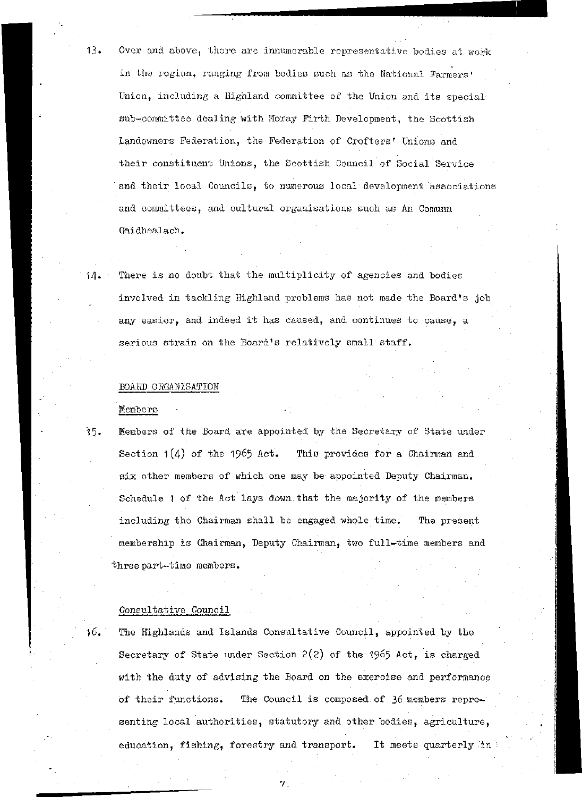- 13. Over and above, there are innumerable representative bodies at work in the region, ranging from bodies such as the National Farmers' Union, including a Highland committee of the Union and its special sub-committee dealing with Moray Firth Development, the Scottish Landowners Federation, the Federation of Crofters' Unions and their constituent Unions, the Scottish Council of Social Service and their local Councils, to numerous local development associations and committees, and cultural organisations such as An Comunn Gaidhealach.
- 14. There is no doubt that the multiplicity of. agencies and bodies involved in tackling Highland problems has not made the Board's job any easier, and indeed it has caused, and continues to cause, a serious strain on the Board's relatively small staff.

### BOARD ORGANISATION

Members

15. Members of the Board are appointed by the Secretary of State under Section  $1(4)$  of the 1965 Act. This provides for a Chairman and six other members of which one may be appointed Deputy Chairman. Schedule 1 of the Act lays down that the majority of the members including the Chairman shall be engaged whole time. The present membership is Chairman, Deputy Chairman, two full-time members and three part-time members.

### Consultative Council

16. The Highlands and Islands Consultative Council, appointed by the Secretary of State under Section  $2(2)$  of the 1965 Act, is charged with the duty of advising the Board on the exercise and performance of their functions. The Council is composed of 36 members representing local authorities, statutory and other bodies, agriculture, education, fishing, forestry and transport. It meets quarterly in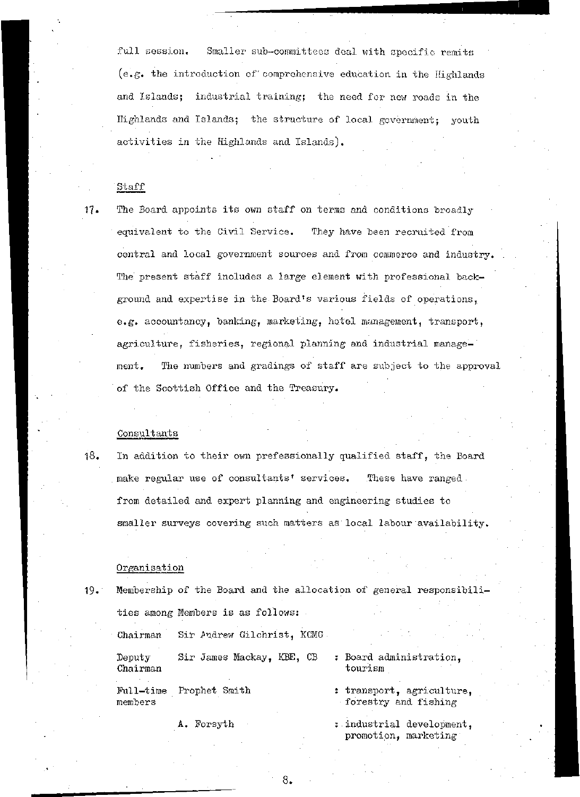full session. Smaller sub-committees deal with specific remits  $(e.g.$  the introduction of comprehensive education in the Highlands and Islands; industrial training; the need for new roads in the Highlands and Islands; the structure of local government; youth activities in the Highlands and Islands).

### Staff

17. The Board appoints its own staff on terms and conditions broadly equivalent to the Civil Service. They have been recruited from central and local government sources and from commerce and industry. The present staff includes a large element with professional background and expertise in the Board's various fields of operations, e.g. accountancy, banking, marketing, hotel management, transport, agriculture, fisheries, regional planning and industrial management. The numbers and gradings of staff are subject to the approval of the Scottish Office and the Treasury.

### .Consultants

18. In addition to their own prefessionally qualified staff, the Board make regular use of consultants' services. These have ranged. from detailed and expert planning and engineering studies to smaller surveys covering such matters as local labour availability.

### Organisation

19« Membership of the Board and the allocation of general responsibilities among Members is as follows:

Chairman Sir Andrew Gilchrist, KCMG Deputy Sir James Mackay, KBE, CB : Board administration,. Chairman tourism

Pull-time Prophet Smith members

A. Forsyth

- 
- : transport, agriculture, forestry and fishing
- : industrial development, promotion, marketing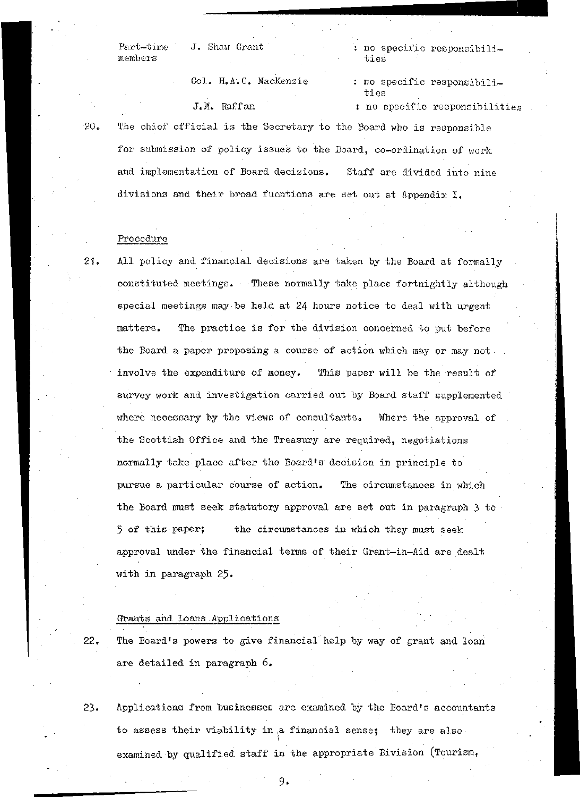members

Part-time J. Shaw Grant

Col. H.A.C. MacKenzie

: no specific responsibili ties

: no specific responsibilities J.M. Raffan : no specific responsibilities •20. The chief official is the Secretary to the Board, who is responsible for submission of policy issues to the Board, co-ordination of work and implementation of Board decisions. Staff are divided into nine divisions and their broad fucntions are set out at Appendix I.

### Procedure

21. All policy and financial decisions are taken by the Board at formally constituted meetings. These normally take place fortnightly although special meetings may be held at 24 hours notice to deal with urgent matters. The practice is for the division concerned to put before the Board a paper proposing a course of action which may or may not. involve the expenditure of money. This paper will be the result of survey work and investigation carried out by Board staff supplemented where necessary by the views of consultants. Where the approval of the Scottish Office and the Treasury are required, negotiations normally take place after the Board's decision in principle to pursue a particular course of action. The circumstances in which the Board must seek statutory approval are set out in paragraph 3 to 5 of this paper; the circumstances in which they must seek approval under the financial terms of their Grant-in-Aid are dealt with in paragraph 25.

### Grants and Loans Applications

22. The Board's powers to give financial help by way of grant and loan are detailed in paragraph 6.

23. Applications from businesses are examined by the Board's accountants to assess their viability in ,a financial sense; they are also examined by qualified staff in the appropriate Division (Tourism,

. 9-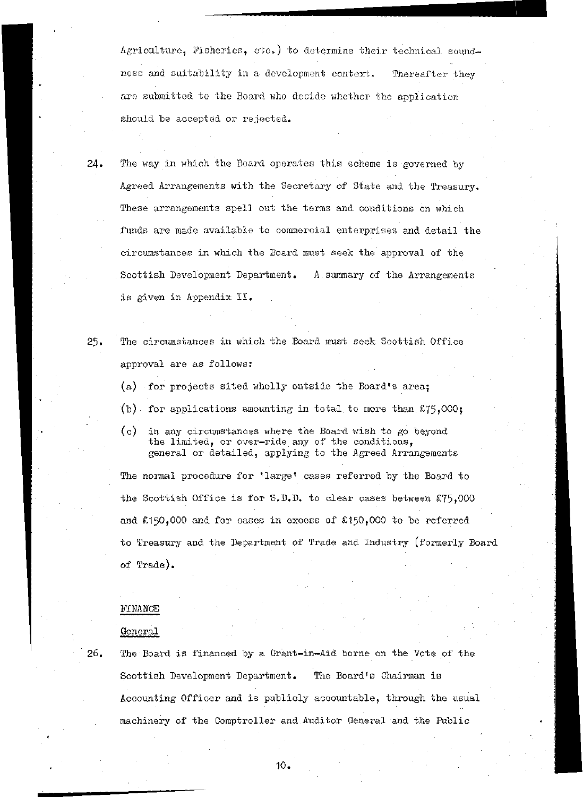Agriculture, Fisheries, etc.) to determine their technical soundness and suitability in a development context. Thereafter they are submitted to the Board who decide whether the application should be accepted or rejected.

24. The way in which the Board operates this scheme is governed by Agreed Arrangements with the Secretary of State and the Treasury. These arrangements spell out the terms and conditions on which funds are made available to commercial enterprises and detail the circumstances in which the Board must seek the approval of the . Scottish Development Department. A summary of the Arrangements is given in Appendix II,

- 25. The circumstances in which, the Board must seek Scottish Office approval are as follows:
	- (a) for projects sited wholly outside the Board's areaj
	- (b) for applications amounting in total to more than  $£75,000;$
	- (c) in any circumstances where the Board wish to go beyond the limited, or over-ride any of the conditions, general or detailed, applying to the Agreed Arrangements

The normal procedure for 'large' cases referred by the Board to the Scottish Office is for S.D.D. to clear cases between £75,000 and  $$150,000$  and for cases in excess of  $$150,000$  to be referred to Treasury and the Department of Trade and Industry (formerly Board of Trade).

### **FINANCE**

### General

26. The Board is financed by a Grant-in~Aid borne on the Vote of the Scottish Development Department. The Board's Chairman is Accounting Officer and is publicly accountable, through the usual machinery of the Comptroller and Auditor General and the Public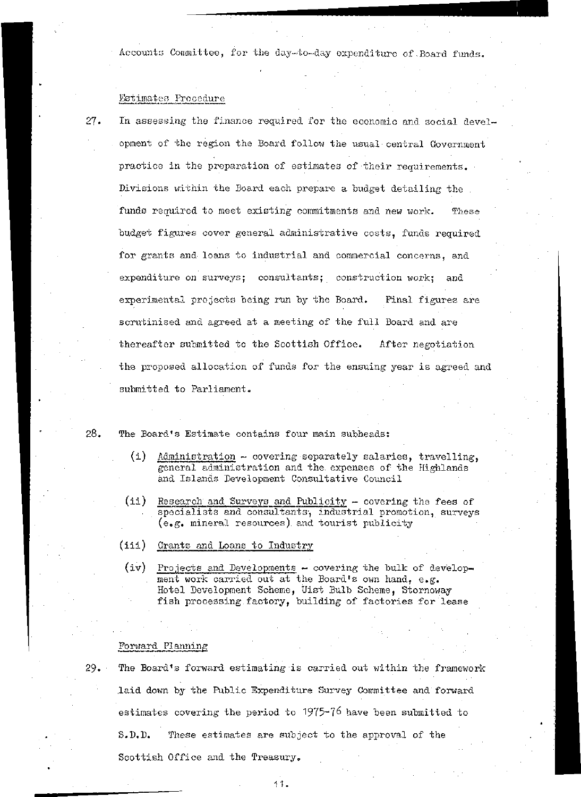Accounts Committee, for the day-to-day expenditure of Board funds.

### Estimates Procedure

2J. In assessing the finance required for the economic and social development of the region the Board follow the usual central Government practice in the preparation of estimates of their requirements. Divisions within the Board each prepare a budget detailing the funds required to meet existing commitments and new work. These budget figures cover general administrative costs, funds required for grants and loans to industrial and commercial concerns, and expenditure on surveys; consultants; construction work; and experimental projects being run by the Board. Final figures are scrutinised and agreed at a meeting of the full Board and are thereafter submitted to the Scottish Office. After negotiation the proposed allocation of funds for the ensuing year is agreed and submitted to Parliament.

### 28. The Board's Estimate contains four main subheads:

- (i) Administration ~ covering separately salaries, travelling, general administration and the expenses of the Highlands and Islands Development Consultative Council
- (ii) Research and Surveys and Publicity covering the fees of specialists and consultants, industrial promotion, surveys  $(e, g,$  mineral resources) and tourist publicity
- (iii) Grants and Loans to Industry
- (iv) Projects and Developments covering the bulk of development work carried out at the Board's own hand, e.g. Hotel Development Scheme, Uist Bulb Scheme, Stornoway fish processing factory, building of factories for lease

### Forward Planning

29. The Board's forward estimating is carried out within the framework .laid down by the Public Expenditure Survey Committee and forward estimates covering the period to 1975-?6 have been submitted to S.D.D. These estimates are subject to the approval of the Scottish Office and the Treasury.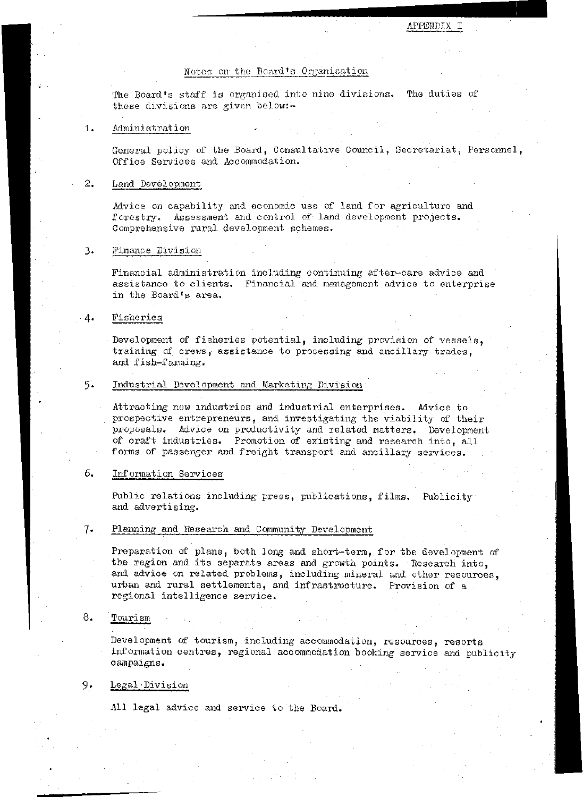### Notes on the Board's Organisation

The Board's staff is organised into nine divisions. The duties of these divisions are given below:-

#### Administration  $1.$

General policy of the Board, Consultative Council, Secretariat, Personnel, Office Services and Accommodation.

#### $2.$ Land Development

Advice on capability and economic use of land for agriculture and forestry. Assessment and control of land development projects. Comprehensive rural development schemes.

#### 3. Finance Division

Financial administration including continuing after-care advice and assistance to clients. Financial and management advice to enterprise in the Board's area.

#### 4. Fisheries

Development of fisheries potential, including provision of vessels, training of crews, assistance to processing and ancillary trades, and fish-farming.

### 5 . Industrial Development and Marketing Division

Attracting new industries and industrial enterprises. Advice to prospective entrepreneurs, and investigating the viability of their proposals. Advice on productivity and related matters. Development of craft industries. Promotion of existing and research into, all forms of passenger and freight transport and ancillary services.

### 6. Information Services

Public relations including press, publications, films. Publicity and advertising.

### Planning and Research and Community Development

Preparation of plans, both long and short-term, for the development of the region and its separate areas and growth points. Research into, and advice on related problems, including mineral and other resources, urban and rural settlements, and infrastructure. Provision of a regional intelligence service.

### $8.$  Tourism  $\qquad \qquad$  .  $\qquad \qquad$  .  $\qquad \qquad$  .  $\qquad \qquad$  .  $\qquad \qquad$  .  $\qquad \qquad$  .  $\qquad \qquad$  .  $\qquad \qquad$  .  $\qquad \qquad$  .  $\qquad \qquad$  .  $\qquad \qquad$  .  $\qquad$  .  $\qquad$  .  $\qquad$  .  $\qquad$  .  $\qquad$  .  $\qquad$  .  $\qquad$  .  $\qquad$  .  $\qquad$  .  $\qquad$  .  $\qquad$  .

Development of tourism, including accommodation, resources, resorts information centres, regional accommodation booking service and publicity campaigns.

### 9. Legal Division

All legal advice and service to the Board.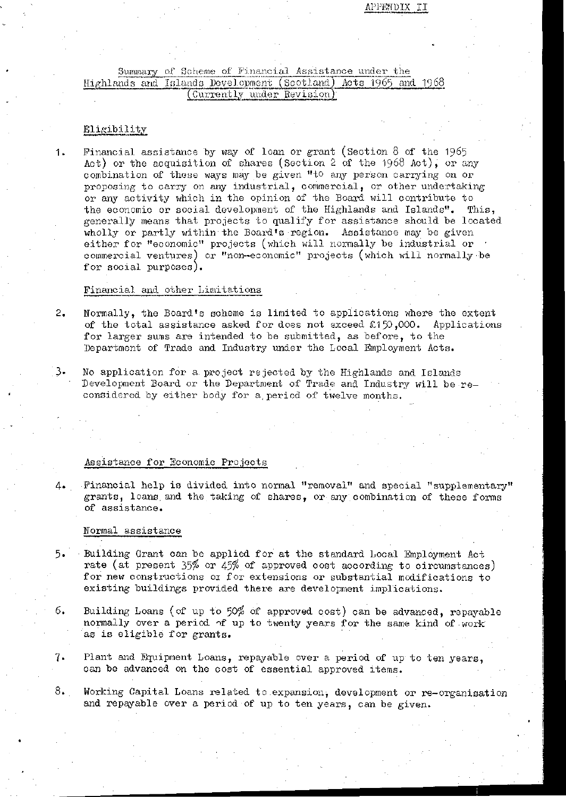### APPENDIX II

## Summary of Scheme of Financial Assistance under the<br>Highlands and Islands Development (Scotland) Acts 1965 and 1968 (Currently under Revision)

### Eligibility

1. Financial assistance by way of loan or grant (Section 8 of the 1965 Act) or the acquisition of shares (Section 2 of the 1968 Act), or any combination of these ways may be given "to any person carrying on or proposing to carry on any industrial, commercial, or other undertaking or any activity which in the opinion of the Board will contribute to the economic or social development of the Highlands and Islands". This, generally means that projects to qualify for assistance should be located wholly or partly within the Board's region. Assistance may be given either for "economic" projects (which will normally be industrial or ' commercial ventures) or "non-economic" projects (which will normally be for social purposes).

### Financial and other Limitations

- 2. Normally, the Board's scheme is limited to applications where the extent of the total assistance asked for does not exceed  $£150,000$ . Applications for larger sums are intended to be submitted, as before, to the Department of Trade and Industry under the Local Employment Acts.
- 3« No application for a project rejected by the Highlands and Islands Development Board or the Department of Trade and Industry will be reconsidered by either body for a.period of twelve months.

### Assistance for Economic Projects

4. Financial help is divided into normal "removal" and special "supplementary" grants, loans, and the.taking of shares, or any combination of these forms of assistance.

### Normal assistance

- 5- Building Grant can be applied for at the standard Local Employment Act rate (at present  $35%$  or  $45%$  of approved cost according to circumstances) for new constructions or for extensions or substantial modifications to existing buildings provided there are development implications.
- 6. Building Loans (of up to 50% of approved cost) can be advanced, repayable normally over a period of up to twenty years for the same kind of work' as is eligible for grants.
- 7- Plant and Equipment Loans, repayable over a period of up to ten years, can be advanced on the cost of essential approved items.
- 8. Working Capital Loans related to expansion, development or re-organisation and repayable over a period of up to ten years, can be given.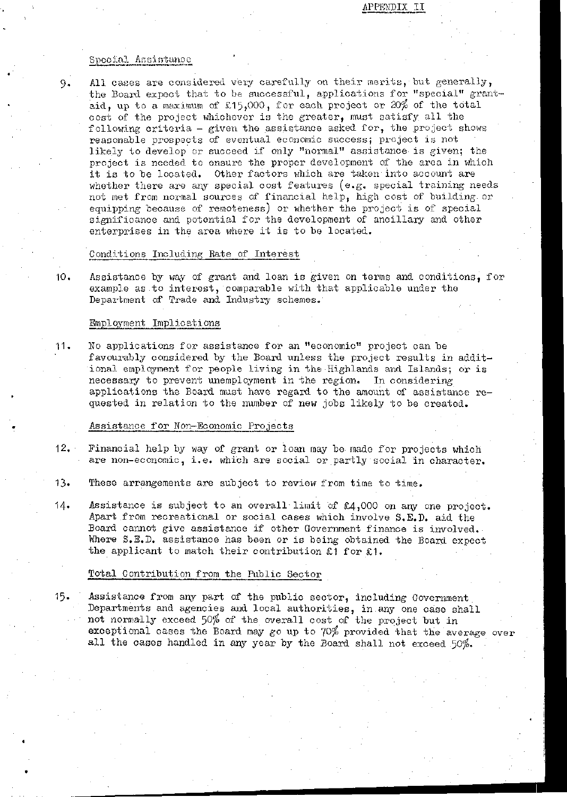### APPENDIX II

### Special Assistance

9. All cases are considered very carefully on their merits, but generally, the Board expect that to be successful, applications for "special" grantaid, up to a maximum of £15,000, for each project or 20% of the total cost of the project whichever is the greater, must satisfy all the following criteria - given the assistance asked for, the project shows reasonable prospects of eventual economic success; project is not likely to develop or succeed if only "normal" assistance is given; the project is needed to ensure the proper development of the area in which it is to be located. Other factors which are taken into account are whether there are any special cost features (e.g. special training needs not met from normal sources of financial help, high cost of building or equipping because of remoteness) or whether the project is of special significance and potential for the development of ancillary and other enterprises in the area where it is to be located.

### Conditions Including Rate of Interest

10. Assistance by way of grant and loan is given on terms and conditions, for example as.to interest, comparable with that applicable under the Department of Trade and Industry schemes.

### Employment Implications .

11. No applications for assistance for an "economic" project can be favourably considered by the Board unless the project results in additional employment for people living in the Highlands and Islands; or is necessary to prevent unemployment in the region. In considering applications the Board must have regard to the amount of assistance requested in relation to the number of new jobs likely to be created.

### Assistance for Hon-Economic Projects

- 12. Financial help by way of grant or loan may be made for projects which are non-economic, i.e. which are social or partly social in character.
- 13. These arrangements are subject to review from time to time.
- 14. Assistance is subject to an overall limit of  $\epsilon$ 4,000 on any one project. Apart from recreational or social cases which involve S.E.D. aid the Board cannot give assistance if other Government finance is involved. Where S.E.D. assistance has been or is being obtained the Board expect the applicant to match their contribution £1 for £1.

### Total Contribution frgm the Public Sector

15. Assistance from any part of the public sector, including Government Departments and agencies and local authorities, in any one case shall not normally exceed 50% of the overall cost of the project but in exceptional cases the Board may go up to 70% provided that the average over all the cases handled in any year by the Board shall not exceed 50%.